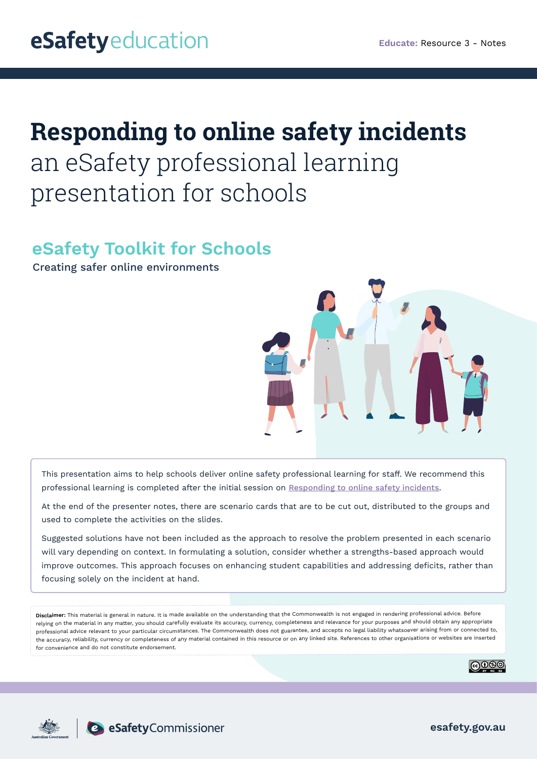# **Responding to online safety incidents**  an eSafety professional learning presentation for schools

## **eSafety Toolkit for Schools**

Creating safer online environments



This presentation aims to help schools deliver online safety professional learning for staff. We recommend this professional learning is completed after the initial session on [Responding to online safety incidents](https://esafety.gov.au/educators/toolkit-schools/educate ).

At the end of the presenter notes, there are scenario cards that are to be cut out, distributed to the groups and used to complete the activities on the slides.

Suggested solutions have not been included as the approach to resolve the problem presented in each scenario will vary depending on context. In formulating a solution, consider whether a strengths-based approach would improve outcomes. This approach focuses on enhancing student capabilities and addressing deficits, rather than focusing solely on the incident at hand.

**Disclaimer:** This material is general in nature. It is made available on the understanding that the Commonwealth is not engaged in rendering professional advice. Before relying on the material in any matter, you should carefully evaluate its accuracy, currency, completeness and relevance for your purposes and should obtain any appropriate professional advice relevant to your particular circumstances. The Commonwealth does not guarantee, and accepts no legal liability whatsoever arising from or connected to, the accuracy, reliability, currency or completeness of any material contained in this resource or on any linked site. References to other organisations or websites are inserted for convenience and do not constitute endorsement.





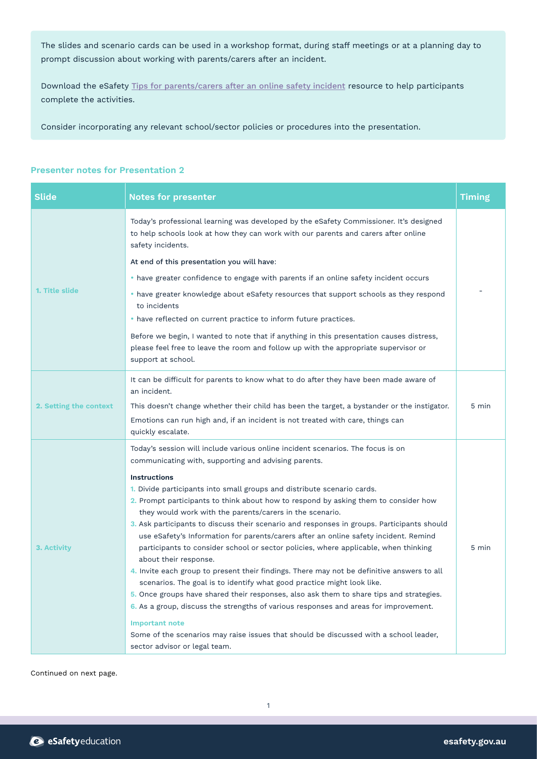The slides and scenario cards can be used in a workshop format, during staff meetings or at a planning day to prompt discussion about working with parents/carers after an incident.

Download the eSafety [Tips for parents/carers after an online safety incident](https://esafety.gov.au/educators/toolkit-schools/respond) resource to help participants complete the activities.

Consider incorporating any relevant school/sector policies or procedures into the presentation.

### **Presenter notes for Presentation 2**

| <b>Slide</b>           | <b>Notes for presenter</b>                                                                                                                                                                                                                                                                                                                                                                                                                                                                                                                                                                                                                                                                                                                                                                                                                                                                                         | <b>Timing</b> |
|------------------------|--------------------------------------------------------------------------------------------------------------------------------------------------------------------------------------------------------------------------------------------------------------------------------------------------------------------------------------------------------------------------------------------------------------------------------------------------------------------------------------------------------------------------------------------------------------------------------------------------------------------------------------------------------------------------------------------------------------------------------------------------------------------------------------------------------------------------------------------------------------------------------------------------------------------|---------------|
| 1. Title slide         | Today's professional learning was developed by the eSafety Commissioner. It's designed<br>to help schools look at how they can work with our parents and carers after online<br>safety incidents.                                                                                                                                                                                                                                                                                                                                                                                                                                                                                                                                                                                                                                                                                                                  |               |
|                        | At end of this presentation you will have:                                                                                                                                                                                                                                                                                                                                                                                                                                                                                                                                                                                                                                                                                                                                                                                                                                                                         |               |
|                        | • have greater confidence to engage with parents if an online safety incident occurs                                                                                                                                                                                                                                                                                                                                                                                                                                                                                                                                                                                                                                                                                                                                                                                                                               |               |
|                        | • have greater knowledge about eSafety resources that support schools as they respond<br>to incidents                                                                                                                                                                                                                                                                                                                                                                                                                                                                                                                                                                                                                                                                                                                                                                                                              |               |
|                        | • have reflected on current practice to inform future practices.                                                                                                                                                                                                                                                                                                                                                                                                                                                                                                                                                                                                                                                                                                                                                                                                                                                   |               |
|                        | Before we begin, I wanted to note that if anything in this presentation causes distress,<br>please feel free to leave the room and follow up with the appropriate supervisor or<br>support at school.                                                                                                                                                                                                                                                                                                                                                                                                                                                                                                                                                                                                                                                                                                              |               |
| 2. Setting the context | It can be difficult for parents to know what to do after they have been made aware of<br>an incident.                                                                                                                                                                                                                                                                                                                                                                                                                                                                                                                                                                                                                                                                                                                                                                                                              |               |
|                        | This doesn't change whether their child has been the target, a bystander or the instigator.                                                                                                                                                                                                                                                                                                                                                                                                                                                                                                                                                                                                                                                                                                                                                                                                                        | 5 min         |
|                        | Emotions can run high and, if an incident is not treated with care, things can<br>quickly escalate.                                                                                                                                                                                                                                                                                                                                                                                                                                                                                                                                                                                                                                                                                                                                                                                                                |               |
| 3. Activity            | Today's session will include various online incident scenarios. The focus is on<br>communicating with, supporting and advising parents.                                                                                                                                                                                                                                                                                                                                                                                                                                                                                                                                                                                                                                                                                                                                                                            |               |
|                        | <b>Instructions</b><br>1. Divide participants into small groups and distribute scenario cards.<br>2. Prompt participants to think about how to respond by asking them to consider how<br>they would work with the parents/carers in the scenario.<br>3. Ask participants to discuss their scenario and responses in groups. Participants should<br>use eSafety's Information for parents/carers after an online safety incident. Remind<br>participants to consider school or sector policies, where applicable, when thinking<br>about their response.<br>4. Invite each group to present their findings. There may not be definitive answers to all<br>scenarios. The goal is to identify what good practice might look like.<br>5. Once groups have shared their responses, also ask them to share tips and strategies.<br>6. As a group, discuss the strengths of various responses and areas for improvement. | 5 min         |
|                        | <b>Important note</b><br>Some of the scenarios may raise issues that should be discussed with a school leader,<br>sector advisor or legal team.                                                                                                                                                                                                                                                                                                                                                                                                                                                                                                                                                                                                                                                                                                                                                                    |               |

Continued on next page.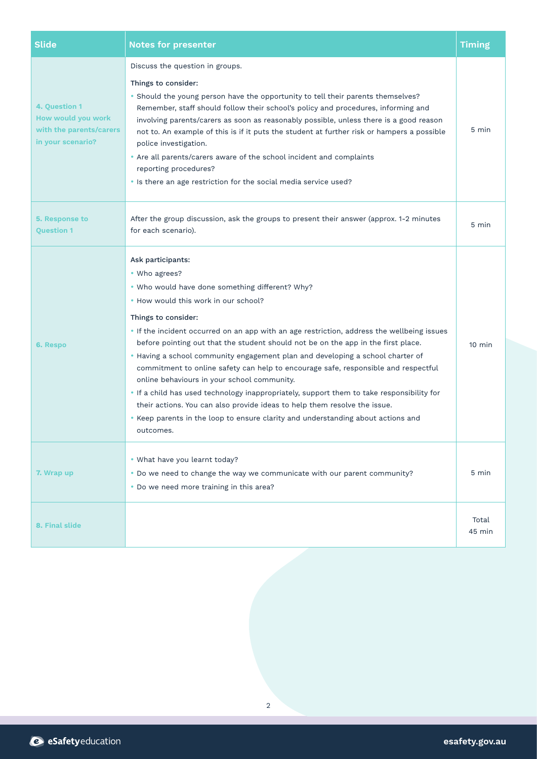| <b>Slide</b>                                                                        | <b>Notes for presenter</b>                                                                                                                                                                                                                                                                                                                                                                                                                                                                                                                                                                                                                                                                                                                                                                                                                | <b>Timing</b>    |
|-------------------------------------------------------------------------------------|-------------------------------------------------------------------------------------------------------------------------------------------------------------------------------------------------------------------------------------------------------------------------------------------------------------------------------------------------------------------------------------------------------------------------------------------------------------------------------------------------------------------------------------------------------------------------------------------------------------------------------------------------------------------------------------------------------------------------------------------------------------------------------------------------------------------------------------------|------------------|
| 4. Question 1<br>How would you work<br>with the parents/carers<br>in your scenario? | Discuss the question in groups.<br>Things to consider:<br>• Should the young person have the opportunity to tell their parents themselves?<br>Remember, staff should follow their school's policy and procedures, informing and<br>involving parents/carers as soon as reasonably possible, unless there is a good reason<br>not to. An example of this is if it puts the student at further risk or hampers a possible<br>police investigation.<br>• Are all parents/carers aware of the school incident and complaints<br>reporting procedures?<br>. Is there an age restriction for the social media service used?                                                                                                                                                                                                                     | 5 min            |
| 5. Response to<br><b>Question 1</b>                                                 | After the group discussion, ask the groups to present their answer (approx. 1-2 minutes<br>for each scenario).                                                                                                                                                                                                                                                                                                                                                                                                                                                                                                                                                                                                                                                                                                                            | 5 min            |
| 6. Respo                                                                            | Ask participants:<br>• Who agrees?<br>. Who would have done something different? Why?<br>. How would this work in our school?<br>Things to consider:<br>. If the incident occurred on an app with an age restriction, address the wellbeing issues<br>before pointing out that the student should not be on the app in the first place.<br>. Having a school community engagement plan and developing a school charter of<br>commitment to online safety can help to encourage safe, responsible and respectful<br>online behaviours in your school community.<br>. If a child has used technology inappropriately, support them to take responsibility for<br>their actions. You can also provide ideas to help them resolve the issue.<br>• Keep parents in the loop to ensure clarity and understanding about actions and<br>outcomes. | $10 \text{ min}$ |
| 7. Wrap up                                                                          | • What have you learnt today?<br>. Do we need to change the way we communicate with our parent community?<br>• Do we need more training in this area?                                                                                                                                                                                                                                                                                                                                                                                                                                                                                                                                                                                                                                                                                     | 5 min            |
| 8. Final slide                                                                      |                                                                                                                                                                                                                                                                                                                                                                                                                                                                                                                                                                                                                                                                                                                                                                                                                                           | Total<br>45 min  |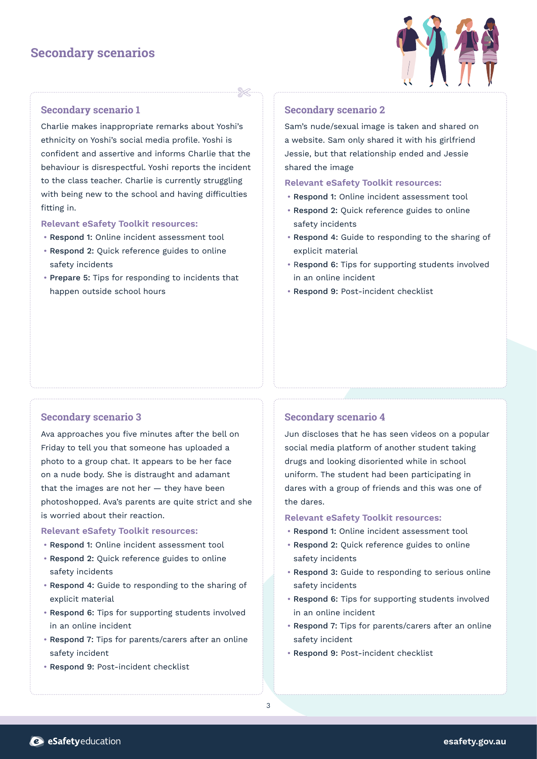### **Secondary scenarios**



### **Secondary scenario 1**

Charlie makes inappropriate remarks about Yoshi's ethnicity on Yoshi's social media profile. Yoshi is confident and assertive and informs Charlie that the behaviour is disrespectful. Yoshi reports the incident to the class teacher. Charlie is currently struggling with being new to the school and having difficulties fitting in.

#### **Relevant eSafety Toolkit resources:**

- Respond 1: Online incident assessment tool
- Respond 2: Quick reference guides to online safety incidents
- Prepare 5: Tips for responding to incidents that happen outside school hours

### **Secondary scenario 2**

Sam's nude/sexual image is taken and shared on a website. Sam only shared it with his girlfriend Jessie, but that relationship ended and Jessie shared the image

### **Relevant eSafety Toolkit resources:**

- Respond 1: Online incident assessment tool
- Respond 2: Quick reference guides to online safety incidents
- Respond 4: Guide to responding to the sharing of explicit material
- Respond 6: Tips for supporting students involved in an online incident
- Respond 9: Post-incident checklist

### **Secondary scenario 3**

Ava approaches you five minutes after the bell on Friday to tell you that someone has uploaded a photo to a group chat. It appears to be her face on a nude body. She is distraught and adamant that the images are not her  $-$  they have been photoshopped. Ava's parents are quite strict and she is worried about their reaction.

### **Relevant eSafety Toolkit resources:**

- Respond 1: Online incident assessment tool
- Respond 2: Quick reference guides to online safety incidents
- Respond 4: Guide to responding to the sharing of explicit material
- Respond 6: Tips for supporting students involved in an online incident
- Respond 7: Tips for parents/carers after an online safety incident
- Respond 9: Post-incident checklist

### **Secondary scenario 4**

Jun discloses that he has seen videos on a popular social media platform of another student taking drugs and looking disoriented while in school uniform. The student had been participating in dares with a group of friends and this was one of the dares.

- Respond 1: Online incident assessment tool
- Respond 2: Quick reference guides to online safety incidents
- Respond 3: Guide to responding to serious online safety incidents
- Respond 6: Tips for supporting students involved in an online incident
- Respond 7: Tips for parents/carers after an online safety incident
- Respond 9: Post-incident checklist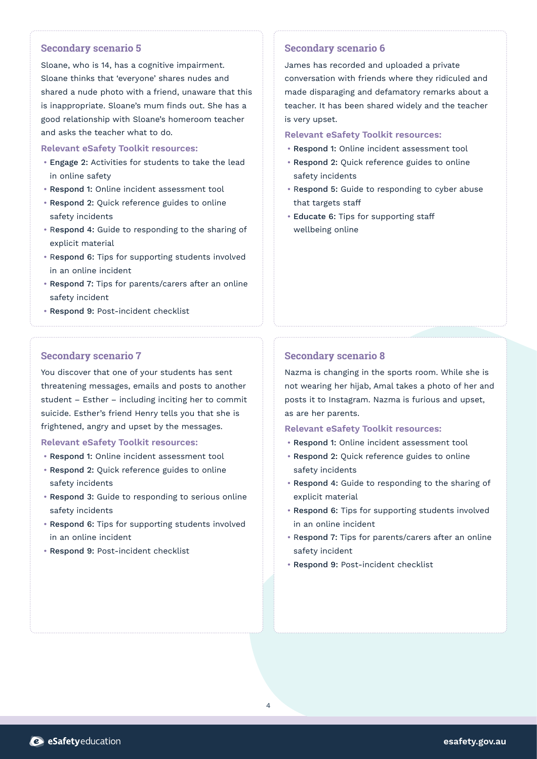### **Secondary scenario 5**

Sloane, who is 14, has a cognitive impairment. Sloane thinks that 'everyone' shares nudes and shared a nude photo with a friend, unaware that this is inappropriate. Sloane's mum finds out. She has a good relationship with Sloane's homeroom teacher and asks the teacher what to do.

#### **Relevant eSafety Toolkit resources:**

- Engage 2: Activities for students to take the lead in online safety
- Respond 1: Online incident assessment tool
- Respond 2: Quick reference guides to online safety incidents
- Respond 4: Guide to responding to the sharing of explicit material
- Respond 6: Tips for supporting students involved in an online incident
- Respond 7: Tips for parents/carers after an online safety incident
- Respond 9: Post-incident checklist

### **Secondary scenario 7**

You discover that one of your students has sent threatening messages, emails and posts to another student – Esther – including inciting her to commit suicide. Esther's friend Henry tells you that she is frightened, angry and upset by the messages.

### **Relevant eSafety Toolkit resources:**

- Respond 1: Online incident assessment tool
- Respond 2: Quick reference guides to online safety incidents
- Respond 3: Guide to responding to serious online safety incidents
- Respond 6: Tips for supporting students involved in an online incident
- Respond 9: Post-incident checklist

### **Secondary scenario 6**

James has recorded and uploaded a private conversation with friends where they ridiculed and made disparaging and defamatory remarks about a teacher. It has been shared widely and the teacher is very upset.

### **Relevant eSafety Toolkit resources:**

- Respond 1: Online incident assessment tool
- Respond 2: Quick reference guides to online safety incidents
- Respond 5: Guide to responding to cyber abuse that targets staff
- Educate 6: Tips for supporting staff wellbeing online

### **Secondary scenario 8**

Nazma is changing in the sports room. While she is not wearing her hijab, Amal takes a photo of her and posts it to Instagram. Nazma is furious and upset, as are her parents.

- Respond 1: Online incident assessment tool
- Respond 2: Quick reference guides to online safety incidents
- Respond 4: Guide to responding to the sharing of explicit material
- Respond 6: Tips for supporting students involved in an online incident
- Respond 7: Tips for parents/carers after an online safety incident
- Respond 9: Post-incident checklist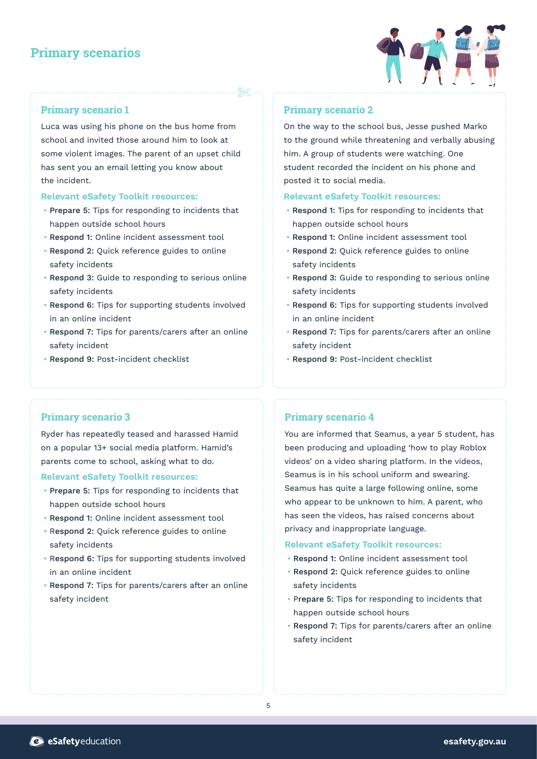### **Primary scenarios**



### **Primary scenario 1**

Luca was using his phone on the bus home from school and invited those around him to look at some violent images. The parent of an upset child has sent you an email letting you know about the incident.

### **Relevant eSafety Toolkit resources:**

- Prepare 5: Tips for responding to incidents that happen outside school hours
- Respond 1: Online incident assessment tool
- Respond 2: Quick reference guides to online safety incidents
- Respond 3: Guide to responding to serious online safety incidents
- Respond 6: Tips for supporting students involved in an online incident
- Respond 7: Tips for parents/carers after an online safety incident
- Respond 9: Post-incident checklist

### **Primary scenario 2**

On the way to the school bus, Jesse pushed Marko to the ground while threatening and verbally abusing him. A group of students were watching. One student recorded the incident on his phone and posted it to social media.

### **Relevant eSafety Toolkit resources:**

- Respond 1: Tips for responding to incidents that happen outside school hours
- Respond 1: Online incident assessment tool
- Respond 2: Quick reference guides to online safety incidents
- Respond 3: Guide to responding to serious online safety incidents
- Respond 6: Tips for supporting students involved in an online incident
- Respond 7: Tips for parents/carers after an online safety incident
- Respond 9: Post-incident checklist

### **Primary scenario 3**

Ryder has repeatedly teased and harassed Hamid on a popular 13+ social media platform. Hamid's parents come to school, asking what to do.

### **Relevant eSafety Toolkit resources:**

- Prepare 5: Tips for responding to incidents that happen outside school hours
- Respond 1: Online incident assessment tool
- Respond 2: Quick reference guides to online safety incidents
- Respond 6: Tips for supporting students involved in an online incident
- Respond 7: Tips for parents/carers after an online safety incident

### **Primary scenario 4**

You are informed that Seamus, a year 5 student, has been producing and uploading 'how to play Roblox videos' on a video sharing platform. In the videos, Seamus is in his school uniform and swearing. Seamus has quite a large following online, some who appear to be unknown to him. A parent, who has seen the videos, has raised concerns about privacy and inappropriate language.

- Respond 1: Online incident assessment tool
- Respond 2: Quick reference guides to online safety incidents
- Prepare 5: Tips for responding to incidents that happen outside school hours
- Respond 7: Tips for parents/carers after an online safety incident